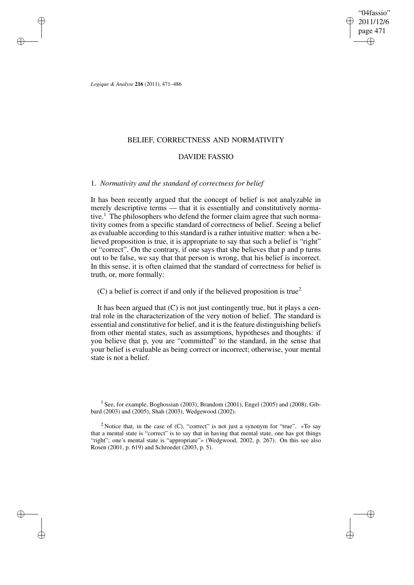"04fassio" 2011/12/6 page 471 ✐ ✐

✐

✐

*Logique & Analyse* **216** (2011), 471–486

✐

✐

✐

✐

## BELIEF, CORRECTNESS AND NORMATIVITY

## DAVIDE FASSIO

## 1. *Normativity and the standard of correctness for belief*

It has been recently argued that the concept of belief is not analyzable in merely descriptive terms — that it is essentially and constitutively normative.<sup>1</sup> The philosophers who defend the former claim agree that such normativity comes from a specific standard of correctness of belief. Seeing a belief as evaluable according to this standard is a rather intuitive matter: when a believed proposition is true, it is appropriate to say that such a belief is "right" or "correct". On the contrary, if one says that she believes that p and p turns out to be false, we say that that person is wrong, that his belief is incorrect. In this sense, it is often claimed that the standard of correctness for belief is truth, or, more formally:

## (C) a belief is correct if and only if the believed proposition is true<sup>2</sup>

It has been argued that  $(C)$  is not just contingently true, but it plays a central role in the characterization of the very notion of belief. The standard is essential and constitutive for belief, and it isthe feature distinguishing beliefs from other mental states, such as assumptions, hypotheses and thoughts: if you believe that p, you are "committed" to the standard, in the sense that your belief is evaluable as being correct or incorrect; otherwise, your mental state is not a belief.

<sup>&</sup>lt;sup>1</sup> See, for example, Boghossian (2003), Brandom (2001), Engel (2005) and (2008), Gibbard (2003) and (2005), Shah (2003), Wedgewood (2002).

<sup>&</sup>lt;sup>2</sup> Notice that, in the case of  $(C)$ , "correct" is not just a synonym for "true". «To say that a mental state is "correct" is to say that in having that mental state, one has got things "right"; one's mental state is "appropriate"» (Wedgwood, 2002, p. 267). On this see also Rosen (2001, p. 619) and Schroeder (2003, p. 5).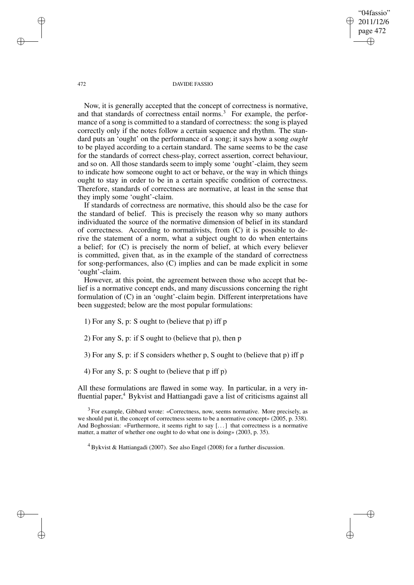"04fassio" 2011/12/6 page 472 ✐ ✐

✐

✐

#### 472 DAVIDE FASSIO

Now, it is generally accepted that the concept of correctness is normative, and that standards of correctness entail norms.<sup>3</sup> For example, the performance of a song is committed to a standard of correctness: the song is played correctly only if the notes follow a certain sequence and rhythm. The standard puts an 'ought' on the performance of a song; it says how a song *ought* to be played according to a certain standard. The same seems to be the case for the standards of correct chess-play, correct assertion, correct behaviour, and so on. All those standards seem to imply some 'ought'-claim, they seem to indicate how someone ought to act or behave, or the way in which things ought to stay in order to be in a certain specific condition of correctness. Therefore, standards of correctness are normative, at least in the sense that they imply some 'ought'-claim.

If standards of correctness are normative, this should also be the case for the standard of belief. This is precisely the reason why so many authors individuated the source of the normative dimension of belief in its standard of correctness. According to normativists, from (C) it is possible to derive the statement of a norm, what a subject ought to do when entertains a belief; for (C) is precisely the norm of belief, at which every believer is committed, given that, as in the example of the standard of correctness for song-performances, also (C) implies and can be made explicit in some 'ought'-claim.

However, at this point, the agreement between those who accept that belief is a normative concept ends, and many discussions concerning the right formulation of (C) in an 'ought'-claim begin. Different interpretations have been suggested; below are the most popular formulations:

- 1) For any S, p: S ought to (believe that p) iff p
- 2) For any S, p: if S ought to (believe that p), then p
- 3) For any S, p: if S considers whether p, S ought to (believe that p) iff p
- 4) For any S, p: S ought to (believe that p iff p)

All these formulations are flawed in some way. In particular, in a very influential paper, <sup>4</sup> Bykvist and Hattiangadi gave a list of criticisms against all

✐

✐

✐

 $3$  For example, Gibbard wrote: «Correctness, now, seems normative. More precisely, as we should put it, the concept of correctness seems to be a normative concept» (2005, p. 338). And Boghossian: «Furthermore, it seems right to say [...] that correctness is a normative matter, a matter of whether one ought to do what one is doing» (2003, p. 35).

<sup>4</sup> Bykvist & Hattiangadi (2007). See also Engel (2008) for a further discussion.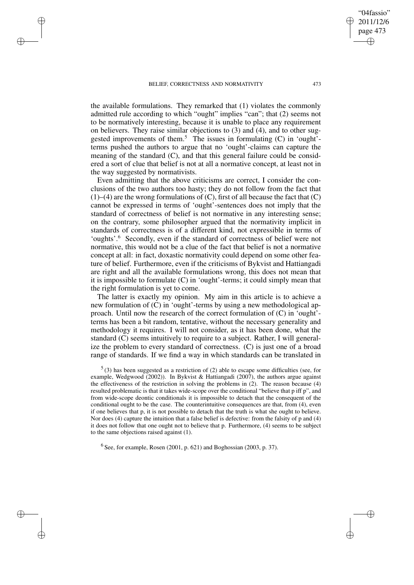✐

✐

✐

✐

the available formulations. They remarked that (1) violates the commonly admitted rule according to which "ought" implies "can"; that (2) seems not to be normatively interesting, because it is unable to place any requirement on believers. They raise similar objections to (3) and (4), and to other suggested improvements of them.<sup>5</sup> The issues in formulating  $(C)$  in 'ought'terms pushed the authors to argue that no 'ought'-claims can capture the meaning of the standard (C), and that this general failure could be considered a sort of clue that belief is not at all a normative concept, at least not in the way suggested by normativists.

Even admitting that the above criticisms are correct, I consider the conclusions of the two authors too hasty; they do not follow from the fact that  $(1)$ – $(4)$  are the wrong formulations of  $(C)$ , first of all because the fact that  $(C)$ cannot be expressed in terms of 'ought'-sentences does not imply that the standard of correctness of belief is not normative in any interesting sense; on the contrary, some philosopher argued that the normativity implicit in standards of correctness is of a different kind, not expressible in terms of 'oughts'.<sup>6</sup> Secondly, even if the standard of correctness of belief were not normative, this would not be a clue of the fact that belief is not a normative concept at all: in fact, doxastic normativity could depend on some other feature of belief. Furthermore, even if the criticisms of Bykvist and Hattiangadi are right and all the available formulations wrong, this does not mean that it is impossible to formulate (C) in 'ought'-terms; it could simply mean that the right formulation is yet to come.

The latter is exactly my opinion. My aim in this article is to achieve a new formulation of (C) in 'ought'-terms by using a new methodological approach. Until now the research of the correct formulation of (C) in 'ought' terms has been a bit random, tentative, without the necessary generality and methodology it requires. I will not consider, as it has been done, what the standard (C) seems intuitively to require to a subject. Rather, I will generalize the problem to every standard of correctness. (C) is just one of a broad range of standards. If we find a way in which standards can be translated in

 $<sup>5</sup>(3)$  has been suggested as a restriction of (2) able to escape some difficulties (see, for</sup> example, Wedgwood (2002)). In Bykvist & Hattiangadi (2007), the authors argue against the effectiveness of the restriction in solving the problems in (2). The reason because (4) resulted problematic is that it takes wide-scope over the conditional "believe that p iff p", and from wide-scope deontic conditionals it is impossible to detach that the consequent of the conditional ought to be the case. The counterintuitive consequences are that, from (4), even if one believes that p, it is not possible to detach that the truth is what she ought to believe. Nor does (4) capture the intuition that a false belief is defective: from the falsity of p and (4) it does not follow that one ought not to believe that p. Furthermore, (4) seems to be subject to the same objections raised against (1).

 $6$  See, for example, Rosen (2001, p. 621) and Boghossian (2003, p. 37).

"04fassio" 2011/12/6 page 473

✐

✐

✐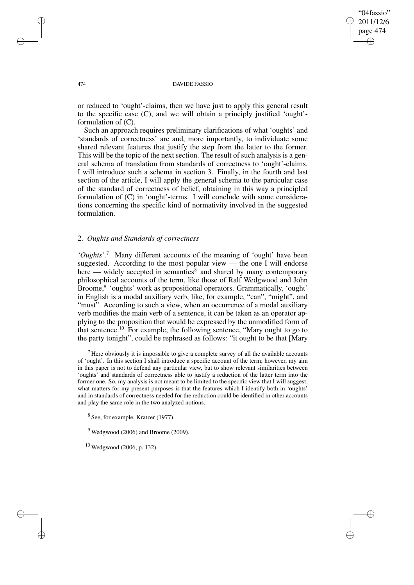"04fassio" 2011/12/6 page 474 ✐ ✐

✐

✐

### 474 DAVIDE FASSIO

or reduced to 'ought'-claims, then we have just to apply this general result to the specific case (C), and we will obtain a principly justified 'ought' formulation of (C).

Such an approach requires preliminary clarifications of what 'oughts' and 'standards of correctness' are and, more importantly, to individuate some shared relevant features that justify the step from the latter to the former. This will be the topic of the next section. The result of such analysis is a general schema of translation from standards of correctness to 'ought'-claims. I will introduce such a schema in section 3. Finally, in the fourth and last section of the article, I will apply the general schema to the particular case of the standard of correctness of belief, obtaining in this way a principled formulation of (C) in 'ought'-terms. I will conclude with some considerations concerning the specific kind of normativity involved in the suggested formulation.

# 2. *Oughts and Standards of correctness*

*'Oughts'.*<sup>7</sup> Many different accounts of the meaning of 'ought' have been suggested. According to the most popular view — the one I will endorse here — widely accepted in semantics<sup>8</sup> and shared by many contemporary philosophical accounts of the term, like those of Ralf Wedgwood and John Broome,<sup>9</sup> 'oughts' work as propositional operators. Grammatically, 'ought' in English is a modal auxiliary verb, like, for example, "can", "might", and "must". According to such a view, when an occurrence of a modal auxiliary verb modifies the main verb of a sentence, it can be taken as an operator applying to the proposition that would be expressed by the unmodified form of that sentence.<sup>10</sup> For example, the following sentence, "Mary ought to go to the party tonight", could be rephrased as follows: "it ought to be that [Mary

 $<sup>7</sup>$  Here obviously it is impossible to give a complete survey of all the available accounts</sup> of 'ought'. In this section I shall introduce a specific account of the term; however, my aim in this paper is not to defend any particular view, but to show relevant similarities between 'oughts' and standards of correctness able to justify a reduction of the latter term into the former one. So, my analysis is not meant to be limited to the specific view that I will suggest; what matters for my present purposes is that the features which I identify both in 'oughts' and in standards of correctness needed for the reduction could be identified in other accounts and play the same role in the two analyzed notions.

<sup>8</sup> See, for example, Kratzer (1977).

 $9$  Wedgwood (2006) and Broome (2009).

<sup>10</sup> Wedgwood (2006, p. 132).

✐

✐

✐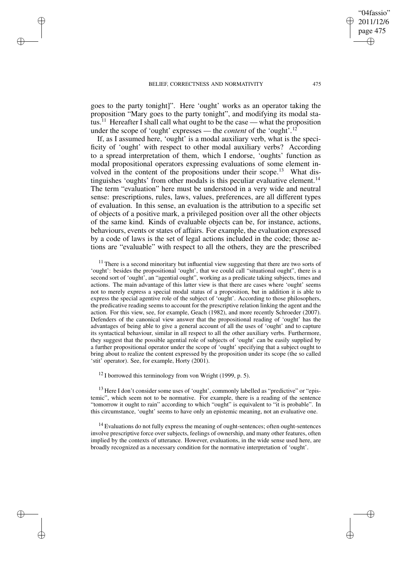✐

✐

✐

✐

goes to the party tonight]". Here 'ought' works as an operator taking the proposition "Mary goes to the party tonight", and modifying its modal status.<sup>11</sup> Hereafter I shall call what ought to be the case — what the proposition under the scope of 'ought' expresses — the *content* of the 'ought'.<sup>12</sup>

If, as I assumed here, 'ought' is a modal auxiliary verb, what is the specificity of 'ought' with respect to other modal auxiliary verbs? According to a spread interpretation of them, which I endorse, 'oughts' function as modal propositional operators expressing evaluations of some element involved in the content of the propositions under their scope.<sup>13</sup> What distinguishes 'oughts' from other modals is this peculiar evaluative element.<sup>14</sup> The term "evaluation" here must be understood in a very wide and neutral sense: prescriptions, rules, laws, values, preferences, are all different types of evaluation. In this sense, an evaluation is the attribution to a specific set of objects of a positive mark, a privileged position over all the other objects of the same kind. Kinds of evaluable objects can be, for instance, actions, behaviours, events or states of affairs. For example, the evaluation expressed by a code of laws is the set of legal actions included in the code; those actions are "evaluable" with respect to all the others, they are the prescribed

 $11$  There is a second minoritary but influential view suggesting that there are two sorts of 'ought': besides the propositional 'ought', that we could call "situational ought", there is a second sort of 'ought', an "agential ought", working as a predicate taking subjects, times and actions. The main advantage of this latter view is that there are cases where 'ought' seems not to merely express a special modal status of a proposition, but in addition it is able to express the special agentive role of the subject of 'ought'. According to those philosophers, the predicative reading seems to account for the prescriptive relation linking the agent and the action. For this view, see, for example, Geach (1982), and more recently Schroeder (2007). Defenders of the canonical view answer that the propositional reading of 'ought' has the advantages of being able to give a general account of all the uses of 'ought' and to capture its syntactical behaviour, similar in all respect to all the other auxiliary verbs. Furthermore, they suggest that the possible agential role of subjects of 'ought' can be easily supplied by a further propositional operator under the scope of 'ought' specifying that a subject ought to bring about to realize the content expressed by the proposition under its scope (the so called 'stit' operator). See, for example, Horty (2001).

 $12$  I borrowed this terminology from von Wright (1999, p. 5).

<sup>13</sup> Here I don't consider some uses of 'ought', commonly labelled as "predictive" or "epistemic", which seem not to be normative. For example, there is a reading of the sentence "tomorrow it ought to rain" according to which "ought" is equivalent to "it is probable". In this circumstance, 'ought' seems to have only an epistemic meaning, not an evaluative one.

<sup>14</sup> Evaluations do not fully express the meaning of ought-sentences; often ought-sentences involve prescriptive force over subjects, feelings of ownership, and many other features, often implied by the contexts of utterance. However, evaluations, in the wide sense used here, are broadly recognized as a necessary condition for the normative interpretation of 'ought'.

"04fassio" 2011/12/6 page 475

✐

✐

✐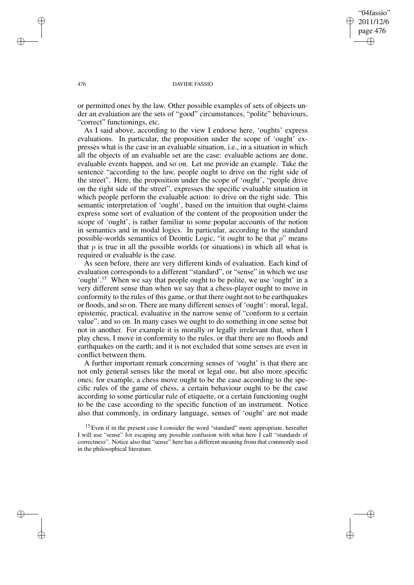"04fassio" 2011/12/6 page 476 ✐ ✐

✐

✐

### 476 DAVIDE FASSIO

or permitted ones by the law. Other possible examples of sets of objects under an evaluation are the sets of "good" circumstances, "polite" behaviours, "correct" functionings, etc.

As I said above, according to the view I endorse here, 'oughts' express evaluations. In particular, the proposition under the scope of 'ought' expresses what is the case in an evaluable situation, i.e., in a situation in which all the objects of an evaluable set are the case: evaluable actions are done, evaluable events happen, and so on. Let me provide an example. Take the sentence "according to the law, people ought to drive on the right side of the street". Here, the proposition under the scope of 'ought', "people drive on the right side of the street", expresses the specific evaluable situation in which people perform the evaluable action: to drive on the right side. This semantic interpretation of 'ought', based on the intuition that ought-claims express some sort of evaluation of the content of the proposition under the scope of 'ought', is rather familiar to some popular accounts of the notion in semantics and in modal logics. In particular, according to the standard possible-worlds semantics of Deontic Logic, "it ought to be that  $p$ " means that  $p$  is true in all the possible worlds (or situations) in which all what is required or evaluable is the case.

As seen before, there are very different kinds of evaluation. Each kind of evaluation corresponds to a different "standard", or "sense" in which we use 'ought'.<sup>15</sup> When we say that people ought to be polite, we use 'ought' in a very different sense than when we say that a chess-player ought to move in conformity to the rules of this game, or that there ought not to be earthquakes or floods, and so on. There are many different senses of 'ought': moral, legal, epistemic, practical, evaluative in the narrow sense of "conform to a certain value", and so on. In many cases we ought to do something in one sense but not in another. For example it is morally or legally irrelevant that, when I play chess, I move in conformity to the rules, or that there are no floods and earthquakes on the earth; and it is not excluded that some senses are even in conflict between them.

A further important remark concerning senses of 'ought' is that there are not only general senses like the moral or legal one, but also more specific ones; for example, a chess move ought to be the case according to the specific rules of the game of chess, a certain behaviour ought to be the case according to some particular rule of etiquette, or a certain functioning ought to be the case according to the specific function of an instrument. Notice also that commonly, in ordinary language, senses of 'ought' are not made

✐

✐

✐

<sup>&</sup>lt;sup>15</sup> Even if in the present case I consider the word "standard" more appropriate, hereafter I will use "sense" for escaping any possible confusion with what here I call "standards of correctness". Notice also that "sense" here has a different meaning from that commonly used in the philosophical literature.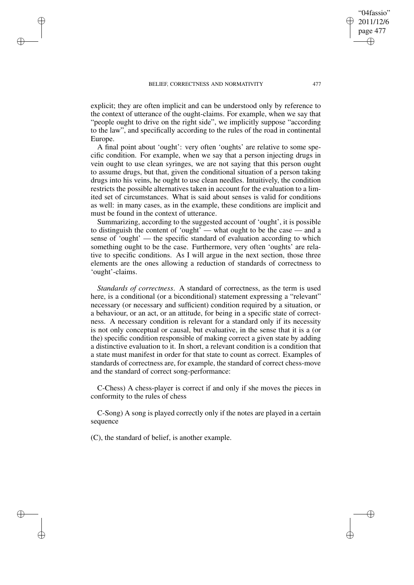✐

✐

✐

✐

explicit; they are often implicit and can be understood only by reference to the context of utterance of the ought-claims. For example, when we say that "people ought to drive on the right side", we implicitly suppose "according to the law", and specifically according to the rules of the road in continental Europe.

A final point about 'ought': very often 'oughts' are relative to some specific condition. For example, when we say that a person injecting drugs in vein ought to use clean syringes, we are not saying that this person ought to assume drugs, but that, given the conditional situation of a person taking drugs into his veins, he ought to use clean needles. Intuitively, the condition restricts the possible alternatives taken in account for the evaluation to a limited set of circumstances. What is said about senses is valid for conditions as well: in many cases, as in the example, these conditions are implicit and must be found in the context of utterance.

Summarizing, according to the suggested account of 'ought', it is possible to distinguish the content of 'ought' — what ought to be the case — and a sense of 'ought' — the specific standard of evaluation according to which something ought to be the case. Furthermore, very often 'oughts' are relative to specific conditions. As I will argue in the next section, those three elements are the ones allowing a reduction of standards of correctness to 'ought'-claims.

*Standards of correctness*. A standard of correctness, as the term is used here, is a conditional (or a biconditional) statement expressing a "relevant" necessary (or necessary and sufficient) condition required by a situation, or a behaviour, or an act, or an attitude, for being in a specific state of correctness. A necessary condition is relevant for a standard only if its necessity is not only conceptual or causal, but evaluative, in the sense that it is a (or the) specific condition responsible of making correct a given state by adding a distinctive evaluation to it. In short, a relevant condition is a condition that a state must manifest in order for that state to count as correct. Examples of standards of correctness are, for example, the standard of correct chess-move and the standard of correct song-performance:

C-Chess) A chess-player is correct if and only if she moves the pieces in conformity to the rules of chess

C-Song) A song is played correctly only if the notes are played in a certain sequence

(C), the standard of belief, is another example.

"04fassio" 2011/12/6 page 477

✐

✐

✐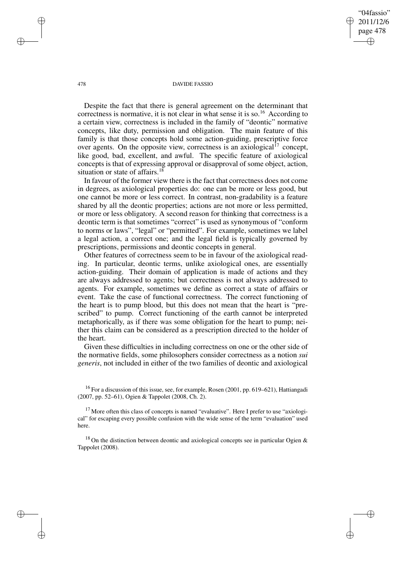"04fassio" 2011/12/6 page 478 ✐ ✐

✐

✐

#### 478 DAVIDE FASSIO

Despite the fact that there is general agreement on the determinant that correctness is normative, it is not clear in what sense it is so.<sup>16</sup> According to a certain view, correctness is included in the family of "deontic" normative concepts, like duty, permission and obligation. The main feature of this family is that those concepts hold some action-guiding, prescriptive force over agents. On the opposite view, correctness is an axiological<sup>17</sup> concept, like good, bad, excellent, and awful. The specific feature of axiological concepts is that of expressing approval or disapproval of some object, action, situation or state of affairs.<sup>18</sup>

In favour of the former view there is the fact that correctness does not come in degrees, as axiological properties do: one can be more or less good, but one cannot be more or less correct. In contrast, non-gradability is a feature shared by all the deontic properties; actions are not more or less permitted, or more or less obligatory. A second reason for thinking that correctness is a deontic term is that sometimes "correct" is used as synonymous of "conform to norms or laws", "legal" or "permitted". For example, sometimes we label a legal action, a correct one; and the legal field is typically governed by prescriptions, permissions and deontic concepts in general.

Other features of correctness seem to be in favour of the axiological reading. In particular, deontic terms, unlike axiological ones, are essentially action-guiding. Their domain of application is made of actions and they are always addressed to agents; but correctness is not always addressed to agents. For example, sometimes we define as correct a state of affairs or event. Take the case of functional correctness. The correct functioning of the heart is to pump blood, but this does not mean that the heart is "prescribed" to pump. Correct functioning of the earth cannot be interpreted metaphorically, as if there was some obligation for the heart to pump; neither this claim can be considered as a prescription directed to the holder of the heart.

Given these difficulties in including correctness on one or the other side of the normative fields, some philosophers consider correctness as a notion *sui generis*, not included in either of the two families of deontic and axiological

<sup>16</sup> For a discussion of this issue, see, for example, Rosen (2001, pp. 619–621), Hattiangadi (2007, pp. 52–61), Ogien & Tappolet (2008, Ch. 2).

 $17$  More often this class of concepts is named "evaluative". Here I prefer to use "axiological" for escaping every possible confusion with the wide sense of the term "evaluation" used here.

<sup>18</sup> On the distinction between deontic and axiological concepts see in particular Ogien  $\&$ Tappolet (2008).

✐

✐

✐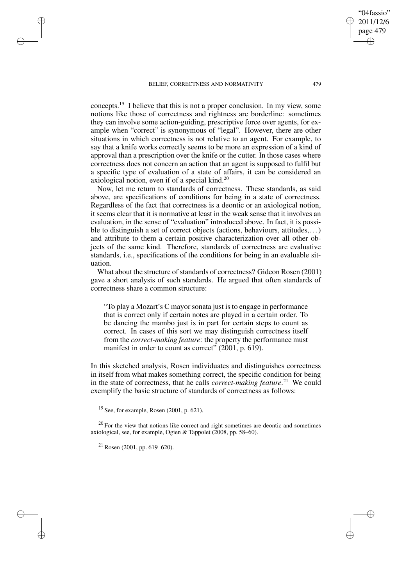✐

✐

✐

✐

concepts.<sup>19</sup> I believe that this is not a proper conclusion. In my view, some notions like those of correctness and rightness are borderline: sometimes they can involve some action-guiding, prescriptive force over agents, for example when "correct" is synonymous of "legal". However, there are other situations in which correctness is not relative to an agent. For example, to say that a knife works correctly seems to be more an expression of a kind of approval than a prescription over the knife or the cutter. In those cases where correctness does not concern an action that an agent is supposed to fulfil but a specific type of evaluation of a state of affairs, it can be considered an axiological notion, even if of a special kind.<sup>20</sup>

Now, let me return to standards of correctness. These standards, as said above, are specifications of conditions for being in a state of correctness. Regardless of the fact that correctness is a deontic or an axiological notion, it seems clear that it is normative at least in the weak sense that it involves an evaluation, in the sense of "evaluation" introduced above. In fact, it is possible to distinguish a set of correct objects (actions, behaviours, attitudes,. . .) and attribute to them a certain positive characterization over all other objects of the same kind. Therefore, standards of correctness are evaluative standards, i.e., specifications of the conditions for being in an evaluable situation.

What about the structure of standards of correctness? Gideon Rosen (2001) gave a short analysis of such standards. He argued that often standards of correctness share a common structure:

"To play a Mozart's C mayor sonata just is to engage in performance that is correct only if certain notes are played in a certain order. To be dancing the mambo just is in part for certain steps to count as correct. In cases of this sort we may distinguish correctness itself from the *correct-making feature*: the property the performance must manifest in order to count as correct" (2001, p. 619).

In this sketched analysis, Rosen individuates and distinguishes correctness in itself from what makes something correct, the specific condition for being in the state of correctness, that he calls *correct-making feature*. <sup>21</sup> We could exemplify the basic structure of standards of correctness as follows:

 $^{21}$  Rosen (2001, pp. 619–620).

"04fassio" 2011/12/6 page 479

✐

✐

✐

 $19$  See, for example, Rosen (2001, p. 621).

 $20$  For the view that notions like correct and right sometimes are deontic and sometimes axiological, see, for example, Ogien & Tappolet (2008, pp. 58–60).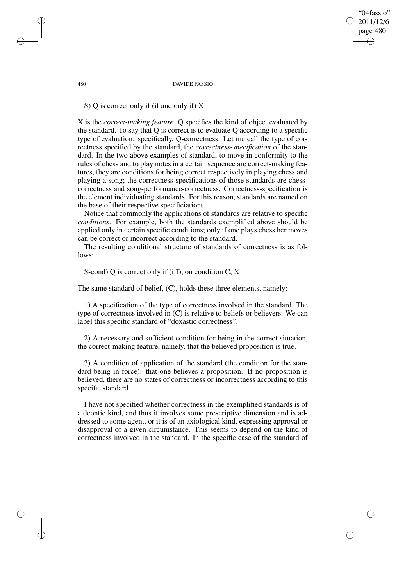"04fassio" 2011/12/6 page 480 ✐ ✐

✐

✐

#### 480 DAVIDE FASSIO

S) Q is correct only if (if and only if) X

X is the *correct-making feature*. Q specifies the kind of object evaluated by the standard. To say that Q is correct is to evaluate Q according to a specific type of evaluation: specifically, Q-correctness. Let me call the type of correctness specified by the standard, the *correctness-specification* of the standard. In the two above examples of standard, to move in conformity to the rules of chess and to play notes in a certain sequence are correct-making features, they are conditions for being correct respectively in playing chess and playing a song; the correctness-specifications of those standards are chesscorrectness and song-performance-correctness. Correctness-specification is the element individuating standards. For this reason, standards are named on the base of their respective specificiations.

Notice that commonly the applications of standards are relative to specific *conditions*. For example, both the standards exemplified above should be applied only in certain specific conditions; only if one plays chess her moves can be correct or incorrect according to the standard.

The resulting conditional structure of standards of correctness is as follows:

S-cond) Q is correct only if (iff), on condition C, X

The same standard of belief, (C), holds these three elements, namely:

1) A specification of the type of correctness involved in the standard. The type of correctness involved in (C) is relative to beliefs or believers. We can label this specific standard of "doxastic correctness".

2) A necessary and sufficient condition for being in the correct situation, the correct-making feature, namely, that the believed proposition is true.

3) A condition of application of the standard (the condition for the standard being in force): that one believes a proposition. If no proposition is believed, there are no states of correctness or incorrectness according to this specific standard.

I have not specified whether correctness in the exemplified standards is of a deontic kind, and thus it involves some prescriptive dimension and is addressed to some agent, or it is of an axiological kind, expressing approval or disapproval of a given circumstance. This seems to depend on the kind of correctness involved in the standard. In the specific case of the standard of

✐

✐

✐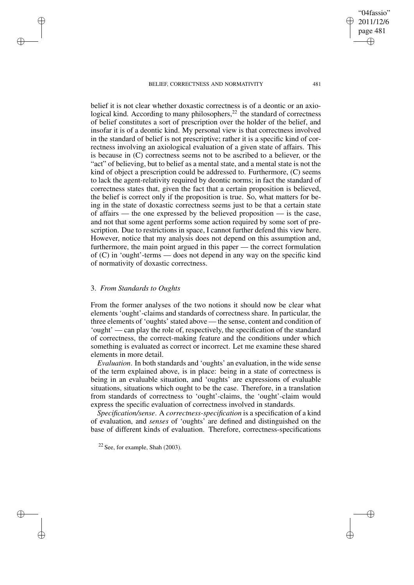belief it is not clear whether doxastic correctness is of a deontic or an axiological kind. According to many philosophers, $^{22}$  the standard of correctness of belief constitutes a sort of prescription over the holder of the belief, and insofar it is of a deontic kind. My personal view is that correctness involved in the standard of belief is not prescriptive; rather it is a specific kind of correctness involving an axiological evaluation of a given state of affairs. This is because in (C) correctness seems not to be ascribed to a believer, or the "act" of believing, but to belief as a mental state, and a mental state is not the kind of object a prescription could be addressed to. Furthermore, (C) seems to lack the agent-relativity required by deontic norms; in fact the standard of correctness states that, given the fact that a certain proposition is believed, the belief is correct only if the proposition is true. So, what matters for being in the state of doxastic correctness seems just to be that a certain state of affairs — the one expressed by the believed proposition — is the case, and not that some agent performs some action required by some sort of prescription. Due to restrictions in space, I cannot further defend this view here. However, notice that my analysis does not depend on this assumption and, furthermore, the main point argued in this paper — the correct formulation of (C) in 'ought'-terms — does not depend in any way on the specific kind of normativity of doxastic correctness.

## 3. *From Standards to Oughts*

✐

✐

✐

✐

From the former analyses of the two notions it should now be clear what elements 'ought'-claims and standards of correctness share. In particular, the three elements of 'oughts'stated above — the sense, content and condition of 'ought' — can play the role of, respectively, the specification of the standard of correctness, the correct-making feature and the conditions under which something is evaluated as correct or incorrect. Let me examine these shared elements in more detail.

*Evaluation*. In both standards and 'oughts' an evaluation, in the wide sense of the term explained above, is in place: being in a state of correctness is being in an evaluable situation, and 'oughts' are expressions of evaluable situations, situations which ought to be the case. Therefore, in a translation from standards of correctness to 'ought'-claims, the 'ought'-claim would express the specific evaluation of correctness involved in standards.

*Specification/sense*. A *correctness-specification* is a specification of a kind of evaluation, and *senses* of 'oughts' are defined and distinguished on the base of different kinds of evaluation. Therefore, correctness-specifications

"04fassio" 2011/12/6 page 481

✐

✐

✐

 $22$  See, for example, Shah (2003).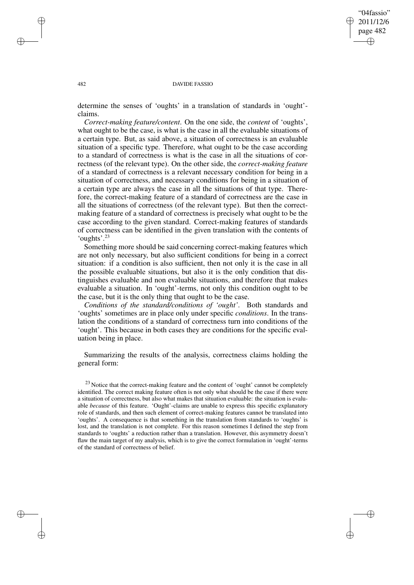✐

✐

#### 482 DAVIDE FASSIO

determine the senses of 'oughts' in a translation of standards in 'ought' claims.

*Correct-making feature/content*. On the one side, the *content* of 'oughts', what ought to be the case, is what is the case in all the evaluable situations of a certain type. But, as said above, a situation of correctness is an evaluable situation of a specific type. Therefore, what ought to be the case according to a standard of correctness is what is the case in all the situations of correctness (of the relevant type). On the other side, the *correct-making feature* of a standard of correctness is a relevant necessary condition for being in a situation of correctness, and necessary conditions for being in a situation of a certain type are always the case in all the situations of that type. Therefore, the correct-making feature of a standard of correctness are the case in all the situations of correctness (of the relevant type). But then the correctmaking feature of a standard of correctness is precisely what ought to be the case according to the given standard. Correct-making features of standards of correctness can be identified in the given translation with the contents of 'oughts'.<sup>23</sup>

Something more should be said concerning correct-making features which are not only necessary, but also sufficient conditions for being in a correct situation: if a condition is also sufficient, then not only it is the case in all the possible evaluable situations, but also it is the only condition that distinguishes evaluable and non evaluable situations, and therefore that makes evaluable a situation. In 'ought'-terms, not only this condition ought to be the case, but it is the only thing that ought to be the case.

*Conditions of the standard/conditions of 'ought'*. Both standards and 'oughts' sometimes are in place only under specific *conditions*. In the translation the conditions of a standard of correctness turn into conditions of the 'ought'. This because in both cases they are conditions for the specific evaluation being in place.

Summarizing the results of the analysis, correctness claims holding the general form:

<sup>23</sup> Notice that the correct-making feature and the content of 'ought' cannot be completely identified. The correct making feature often is not only what should be the case if there were a situation of correctness, but also what makes that situation evaluable: the situation is evaluable *because* of this feature. 'Ought'-claims are unable to express this specific explanatory role of standards, and then such element of correct-making features cannot be translated into 'oughts'. A consequence is that something in the translation from standards to 'oughts' is lost, and the translation is not complete. For this reason sometimes I defined the step from standards to 'oughts' a reduction rather than a translation. However, this asymmetry doesn't flaw the main target of my analysis, which is to give the correct formulation in 'ought'-terms of the standard of correctness of belief.

✐

✐

✐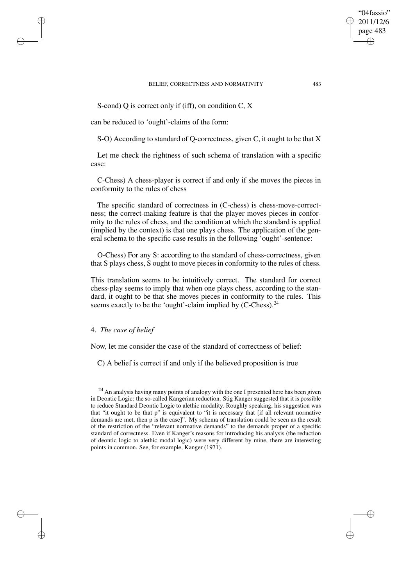S-cond) Q is correct only if (iff), on condition C, X

can be reduced to 'ought'-claims of the form:

✐

✐

✐

✐

S-O) According to standard of Q-correctness, given C, it ought to be that X

Let me check the rightness of such schema of translation with a specific case:

C-Chess) A chess-player is correct if and only if she moves the pieces in conformity to the rules of chess

The specific standard of correctness in (C-chess) is chess-move-correctness; the correct-making feature is that the player moves pieces in conformity to the rules of chess, and the condition at which the standard is applied (implied by the context) is that one plays chess. The application of the general schema to the specific case results in the following 'ought'-sentence:

O-Chess) For any S: according to the standard of chess-correctness, given that S plays chess, S ought to move pieces in conformity to the rules of chess.

This translation seems to be intuitively correct. The standard for correct chess-play seems to imply that when one plays chess, according to the standard, it ought to be that she moves pieces in conformity to the rules. This seems exactly to be the 'ought'-claim implied by (C-Chess).<sup>24</sup>

# 4. *The case of belief*

Now, let me consider the case of the standard of correctness of belief:

C) A belief is correct if and only if the believed proposition is true

"04fassio" 2011/12/6 page 483

✐

✐

✐

<sup>&</sup>lt;sup>24</sup> An analysis having many points of analogy with the one I presented here has been given in Deontic Logic: the so-called Kangerian reduction. Stig Kanger suggested that it is possible to reduce Standard Deontic Logic to alethic modality. Roughly speaking, his suggestion was that "it ought to be that p" is equivalent to "it is necessary that [if all relevant normative demands are met, then p is the case]". My schema of translation could be seen as the result of the restriction of the "relevant normative demands" to the demands proper of a specific standard of correctness. Even if Kanger's reasons for introducing his analysis (the reduction of deontic logic to alethic modal logic) were very different by mine, there are interesting points in common. See, for example, Kanger (1971).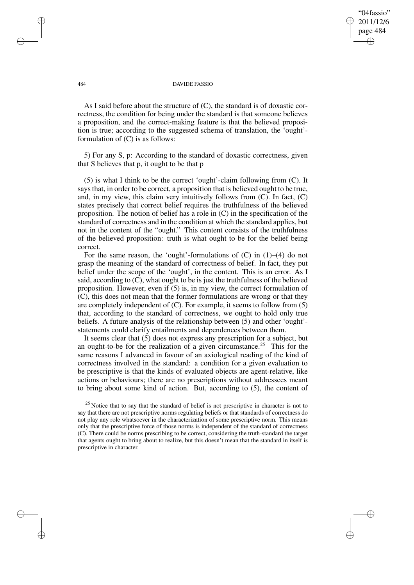"04fassio" 2011/12/6 page 484 ✐ ✐

✐

✐

#### 484 DAVIDE FASSIO

As I said before about the structure of (C), the standard is of doxastic correctness, the condition for being under the standard is that someone believes a proposition, and the correct-making feature is that the believed proposition is true; according to the suggested schema of translation, the 'ought' formulation of (C) is as follows:

5) For any S, p: According to the standard of doxastic correctness, given that S believes that p, it ought to be that p

(5) is what I think to be the correct 'ought'-claim following from (C). It saysthat, in order to be correct, a proposition that is believed ought to be true, and, in my view, this claim very intuitively follows from  $(C)$ . In fact,  $(C)$ states precisely that correct belief requires the truthfulness of the believed proposition. The notion of belief has a role in (C) in the specification of the standard of correctness and in the condition at which the standard applies, but not in the content of the "ought." This content consists of the truthfulness of the believed proposition: truth is what ought to be for the belief being correct.

For the same reason, the 'ought'-formulations of  $(C)$  in  $(1)$ – $(4)$  do not grasp the meaning of the standard of correctness of belief. In fact, they put belief under the scope of the 'ought', in the content. This is an error. As I said, according to  $(C)$ , what ought to be is just the truthfulness of the believed proposition. However, even if (5) is, in my view, the correct formulation of (C), this does not mean that the former formulations are wrong or that they are completely independent of (C). For example, it seems to follow from (5) that, according to the standard of correctness, we ought to hold only true beliefs. A future analysis of the relationship between (5) and other 'ought' statements could clarify entailments and dependences between them.

It seems clear that  $(5)$  does not express any prescription for a subject, but an ought-to-be for the realization of a given circumstance.<sup>25</sup> This for the same reasons I advanced in favour of an axiological reading of the kind of correctness involved in the standard: a condition for a given evaluation to be prescriptive is that the kinds of evaluated objects are agent-relative, like actions or behaviours; there are no prescriptions without addressees meant to bring about some kind of action. But, according to (5), the content of

✐

✐

✐

 $25$  Notice that to say that the standard of belief is not prescriptive in character is not to say that there are not prescriptive norms regulating beliefs or that standards of correctness do not play any role whatsoever in the characterization of some prescriptive norm. This means only that the prescriptive force of those norms is independent of the standard of correctness (C). There could be norms prescribing to be correct, considering the truth-standard the target that agents ought to bring about to realize, but this doesn't mean that the standard in itself is prescriptive in character.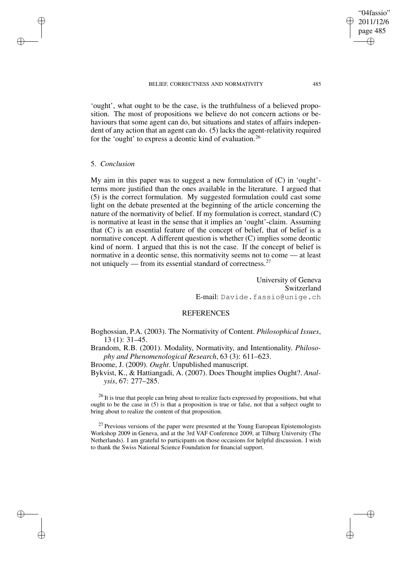'ought', what ought to be the case, is the truthfulness of a believed proposition. The most of propositions we believe do not concern actions or behaviours that some agent can do, but situations and states of affairs independent of any action that an agent can do. (5) lacks the agent-relativity required for the 'ought' to express a deontic kind of evaluation.<sup>26</sup>

## 5. *Conclusion*

✐

✐

✐

✐

My aim in this paper was to suggest a new formulation of (C) in 'ought' terms more justified than the ones available in the literature. I argued that (5) is the correct formulation. My suggested formulation could cast some light on the debate presented at the beginning of the article concerning the nature of the normativity of belief. If my formulation is correct, standard (C) is normative at least in the sense that it implies an 'ought'-claim. Assuming that (C) is an essential feature of the concept of belief, that of belief is a normative concept. A different question is whether (C) implies some deontic kind of norm. I argued that this is not the case. If the concept of belief is normative in a deontic sense, this normativity seems not to come — at least not uniquely — from its essential standard of correctness.<sup>27</sup>

> University of Geneva Switzerland E-mail: Davide.fassio@unige.ch

## REFERENCES

Boghossian, P.A. (2003). The Normativity of Content. *Philosophical Issues*, 13 (1): 31–45.

Brandom, R.B. (2001). Modality, Normativity, and Intentionality. *Philosophy and Phenomenological Research*, 63 (3): 611–623.

Broome, J. (2009). *Ought*. Unpublished manuscript.

Bykvist, K., & Hattiangadi, A. (2007). Does Thought implies Ought?. *Analysis*, 67: 277–285.

 $26$  It is true that people can bring about to realize facts expressed by propositions, but what ought to be the case in (5) is that a proposition is true or false, not that a subject ought to bring about to realize the content of that proposition.

 $27$  Previous versions of the paper were presented at the Young European Epistemologists Workshop 2009 in Geneva, and at the 3rd VAF Conference 2009, at Tilburg University (The Netherlands). I am grateful to participants on those occasions for helpful discussion. I wish to thank the Swiss National Science Foundation for financial support.

"04fassio" 2011/12/6 page 485

✐

✐

✐